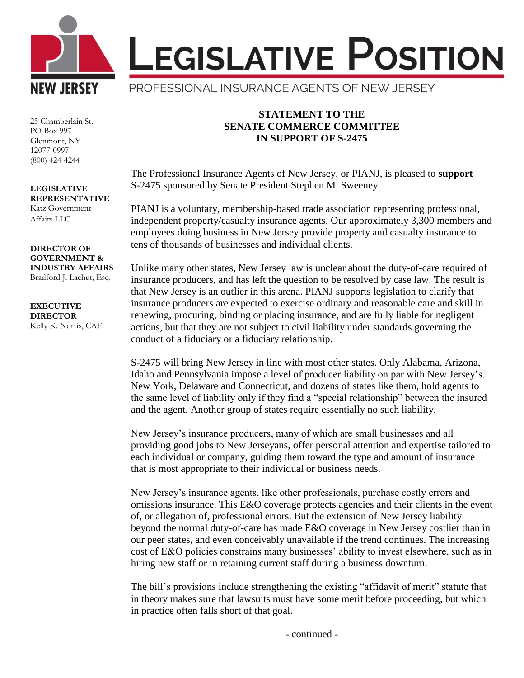

25 Chamberlain St. PO Box 997 Glenmont, NY 12077-0997 (800) 424-4244

## **LEGISLATIVE REPRESENTATIVE** Katz Government

Affairs LLC

## **DIRECTOR OF GOVERNMENT & INDUSTRY AFFAIRS** Bradford J. Lachut, Esq.

**EXECUTIVE DIRECTOR** Kelly K. Norris, CAE

## **STATEMENT TO THE SENATE COMMERCE COMMITTEE IN SUPPORT OF S-2475**

The Professional Insurance Agents of New Jersey, or PIANJ, is pleased to **support** S-2475 sponsored by Senate President Stephen M. Sweeney.

PIANJ is a voluntary, membership-based trade association representing professional, independent property/casualty insurance agents. Our approximately 3,300 members and employees doing business in New Jersey provide property and casualty insurance to tens of thousands of businesses and individual clients.

Unlike many other states, New Jersey law is unclear about the duty-of-care required of insurance producers, and has left the question to be resolved by case law. The result is that New Jersey is an outlier in this arena. PIANJ supports legislation to clarify that insurance producers are expected to exercise ordinary and reasonable care and skill in renewing, procuring, binding or placing insurance, and are fully liable for negligent actions, but that they are not subject to civil liability under standards governing the conduct of a fiduciary or a fiduciary relationship.

S-2475 will bring New Jersey in line with most other states. Only Alabama, Arizona, Idaho and Pennsylvania impose a level of producer liability on par with New Jersey's. New York, Delaware and Connecticut, and dozens of states like them, hold agents to the same level of liability only if they find a "special relationship" between the insured and the agent. Another group of states require essentially no such liability.

New Jersey's insurance producers, many of which are small businesses and all providing good jobs to New Jerseyans, offer personal attention and expertise tailored to each individual or company, guiding them toward the type and amount of insurance that is most appropriate to their individual or business needs.

New Jersey's insurance agents, like other professionals, purchase costly errors and omissions insurance. This E&O coverage protects agencies and their clients in the event of, or allegation of, professional errors. But the extension of New Jersey liability beyond the normal duty-of-care has made E&O coverage in New Jersey costlier than in our peer states, and even conceivably unavailable if the trend continues. The increasing cost of E&O policies constrains many businesses' ability to invest elsewhere, such as in hiring new staff or in retaining current staff during a business downturn.

The bill's provisions include strengthening the existing "affidavit of merit" statute that in theory makes sure that lawsuits must have some merit before proceeding, but which in practice often falls short of that goal.